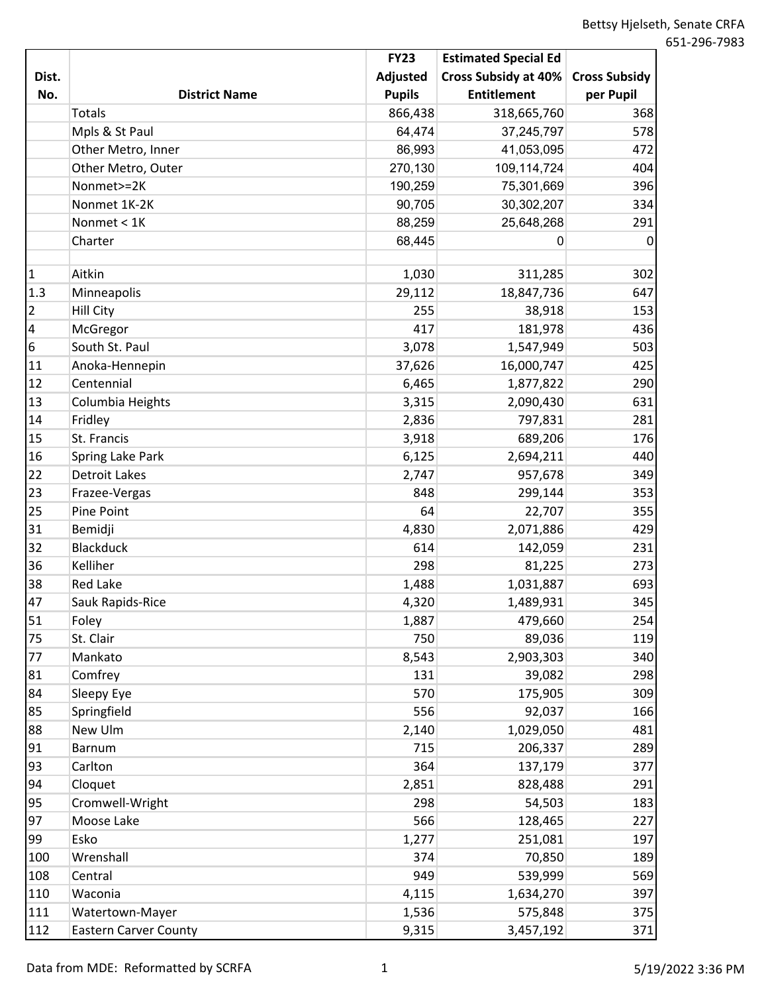|                 |                              | <b>FY23</b>   | <b>Estimated Special Ed</b> |                      |
|-----------------|------------------------------|---------------|-----------------------------|----------------------|
| Dist.           |                              | Adjusted      | <b>Cross Subsidy at 40%</b> | <b>Cross Subsidy</b> |
| No.             | <b>District Name</b>         | <b>Pupils</b> | <b>Entitlement</b>          | per Pupil            |
|                 | <b>Totals</b>                | 866,438       | 318,665,760                 | 368                  |
|                 | Mpls & St Paul               | 64,474        | 37,245,797                  | 578                  |
|                 | Other Metro, Inner           | 86,993        | 41,053,095                  | 472                  |
|                 | Other Metro, Outer           | 270,130       | 109,114,724                 | 404                  |
|                 | Nonmet>=2K                   | 190,259       | 75,301,669                  | 396                  |
|                 | Nonmet 1K-2K                 | 90,705        | 30,302,207                  | 334                  |
|                 | Nonmet < 1K                  | 88,259        | 25,648,268                  | 291                  |
|                 | Charter                      | 68,445        | 0                           | 0                    |
|                 |                              |               |                             |                      |
| $\vert$ 1       | Aitkin                       | 1,030         | 311,285                     | 302                  |
| 1.3             | Minneapolis                  | 29,112        | 18,847,736                  | 647                  |
| $\overline{2}$  | <b>Hill City</b>             | 255           | 38,918                      | 153                  |
| $\overline{4}$  | McGregor                     | 417           | 181,978                     | 436                  |
| $6\phantom{.}6$ | South St. Paul               | 3,078         | 1,547,949                   | 503                  |
| 11              | Anoka-Hennepin               | 37,626        | 16,000,747                  | 425                  |
| 12              | Centennial                   | 6,465         | 1,877,822                   | 290                  |
| 13              | Columbia Heights             | 3,315         | 2,090,430                   | 631                  |
| 14              | Fridley                      | 2,836         | 797,831                     | 281                  |
| 15              | St. Francis                  | 3,918         | 689,206                     | 176                  |
| 16              | Spring Lake Park             | 6,125         | 2,694,211                   | 440                  |
| 22              | <b>Detroit Lakes</b>         | 2,747         | 957,678                     | 349                  |
| 23              | Frazee-Vergas                | 848           | 299,144                     | 353                  |
| 25              | Pine Point                   | 64            | 22,707                      | 355                  |
| 31              | Bemidji                      | 4,830         | 2,071,886                   | 429                  |
| 32              | <b>Blackduck</b>             | 614           | 142,059                     | 231                  |
| 36              | Kelliher                     | 298           | 81,225                      | 273                  |
| 38              | <b>Red Lake</b>              | 1,488         | 1,031,887                   | 693                  |
| 47              | Sauk Rapids-Rice             | 4,320         | 1,489,931                   | 345                  |
| 51              | Foley                        | 1,887         | 479,660                     | 254                  |
| 75              | St. Clair                    | 750           | 89,036                      | 119                  |
| 77              | Mankato                      | 8,543         | 2,903,303                   | 340                  |
| 81              | Comfrey                      | 131           | 39,082                      | 298                  |
| 84              | Sleepy Eye                   | 570           | 175,905                     | 309                  |
| 85              | Springfield                  | 556           | 92,037                      | 166                  |
| 88              | New Ulm                      | 2,140         | 1,029,050                   | 481                  |
| 91              | <b>Barnum</b>                | 715           | 206,337                     | 289                  |
| 93              | Carlton                      | 364           | 137,179                     | 377                  |
| 94              | Cloquet                      | 2,851         | 828,488                     | 291                  |
| 95              | Cromwell-Wright              | 298           | 54,503                      | 183                  |
| 97              | Moose Lake                   | 566           | 128,465                     | 227                  |
| 99              | Esko                         | 1,277         | 251,081                     | 197                  |
| 100             | Wrenshall                    | 374           | 70,850                      | 189                  |
| 108             | Central                      | 949           | 539,999                     | 569                  |
| 110             | Waconia                      | 4,115         | 1,634,270                   | 397                  |
| 111             | Watertown-Mayer              | 1,536         | 575,848                     | 375                  |
| 112             | <b>Eastern Carver County</b> | 9,315         | 3,457,192                   | 371                  |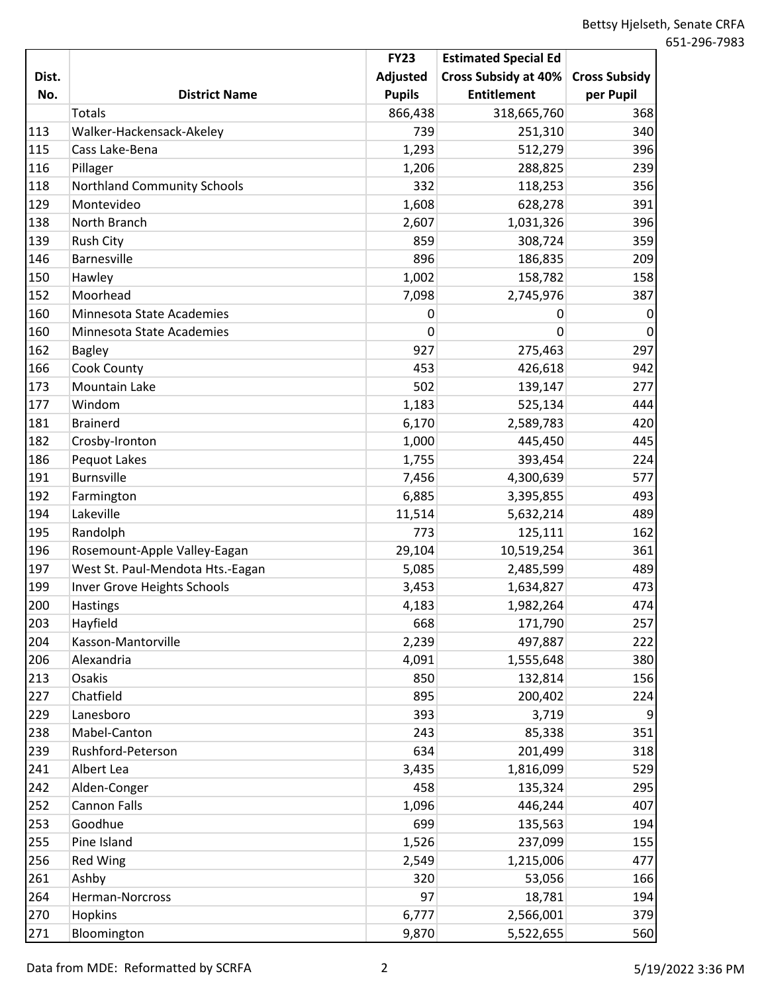|       |                                    | <b>FY23</b>   | <b>Estimated Special Ed</b> |                      |
|-------|------------------------------------|---------------|-----------------------------|----------------------|
| Dist. |                                    | Adjusted      | Cross Subsidy at 40%        | <b>Cross Subsidy</b> |
| No.   | <b>District Name</b>               | <b>Pupils</b> | <b>Entitlement</b>          | per Pupil            |
|       | <b>Totals</b>                      | 866,438       | 318,665,760                 | 368                  |
| 113   | Walker-Hackensack-Akeley           | 739           | 251,310                     | 340                  |
| 115   | Cass Lake-Bena                     | 1,293         | 512,279                     | 396                  |
| 116   | Pillager                           | 1,206         | 288,825                     | 239                  |
| 118   | <b>Northland Community Schools</b> | 332           | 118,253                     | 356                  |
| 129   | Montevideo                         | 1,608         | 628,278                     | 391                  |
| 138   | North Branch                       | 2,607         | 1,031,326                   | 396                  |
| 139   | <b>Rush City</b>                   | 859           | 308,724                     | 359                  |
| 146   | Barnesville                        | 896           | 186,835                     | 209                  |
| 150   | Hawley                             | 1,002         | 158,782                     | 158                  |
| 152   | Moorhead                           | 7,098         | 2,745,976                   | 387                  |
| 160   | Minnesota State Academies          | 0             | 0                           | 0                    |
| 160   | Minnesota State Academies          | 0             | 0                           | $\mathbf 0$          |
| 162   | <b>Bagley</b>                      | 927           | 275,463                     | 297                  |
| 166   | Cook County                        | 453           | 426,618                     | 942                  |
| 173   | Mountain Lake                      | 502           | 139,147                     | 277                  |
| 177   | Windom                             | 1,183         | 525,134                     | 444                  |
| 181   | <b>Brainerd</b>                    | 6,170         | 2,589,783                   | 420                  |
| 182   | Crosby-Ironton                     | 1,000         | 445,450                     | 445                  |
| 186   | Pequot Lakes                       | 1,755         | 393,454                     | 224                  |
| 191   | <b>Burnsville</b>                  | 7,456         | 4,300,639                   | 577                  |
| 192   | Farmington                         | 6,885         | 3,395,855                   | 493                  |
| 194   | Lakeville                          | 11,514        | 5,632,214                   | 489                  |
| 195   | Randolph                           | 773           | 125,111                     | 162                  |
| 196   | Rosemount-Apple Valley-Eagan       | 29,104        | 10,519,254                  | 361                  |
| 197   | West St. Paul-Mendota Hts.-Eagan   | 5,085         | 2,485,599                   | 489                  |
| 199   | Inver Grove Heights Schools        | 3,453         | 1,634,827                   | 473                  |
| 200   | <b>Hastings</b>                    | 4,183         | 1,982,264                   | 474                  |
| 203   | Hayfield                           | 668           | 171,790                     | 257                  |
| 204   | Kasson-Mantorville                 | 2,239         | 497,887                     | 222                  |
| 206   | Alexandria                         | 4,091         | 1,555,648                   | 380                  |
| 213   | Osakis                             | 850           | 132,814                     | 156                  |
| 227   | Chatfield                          | 895           | 200,402                     | 224                  |
| 229   | Lanesboro                          | 393           | 3,719                       | 9                    |
| 238   | Mabel-Canton                       | 243           | 85,338                      | 351                  |
| 239   | Rushford-Peterson                  | 634           | 201,499                     | 318                  |
| 241   | Albert Lea                         | 3,435         | 1,816,099                   | 529                  |
| 242   | Alden-Conger                       | 458           | 135,324                     | 295                  |
| 252   | <b>Cannon Falls</b>                | 1,096         | 446,244                     | 407                  |
| 253   | Goodhue                            | 699           | 135,563                     | 194                  |
| 255   | Pine Island                        | 1,526         | 237,099                     | 155                  |
| 256   | <b>Red Wing</b>                    | 2,549         | 1,215,006                   | 477                  |
| 261   | Ashby                              | 320           | 53,056                      | 166                  |
| 264   | Herman-Norcross                    | 97            | 18,781                      | 194                  |
| 270   | Hopkins                            | 6,777         | 2,566,001                   | 379                  |
| 271   | Bloomington                        | 9,870         | 5,522,655                   | 560                  |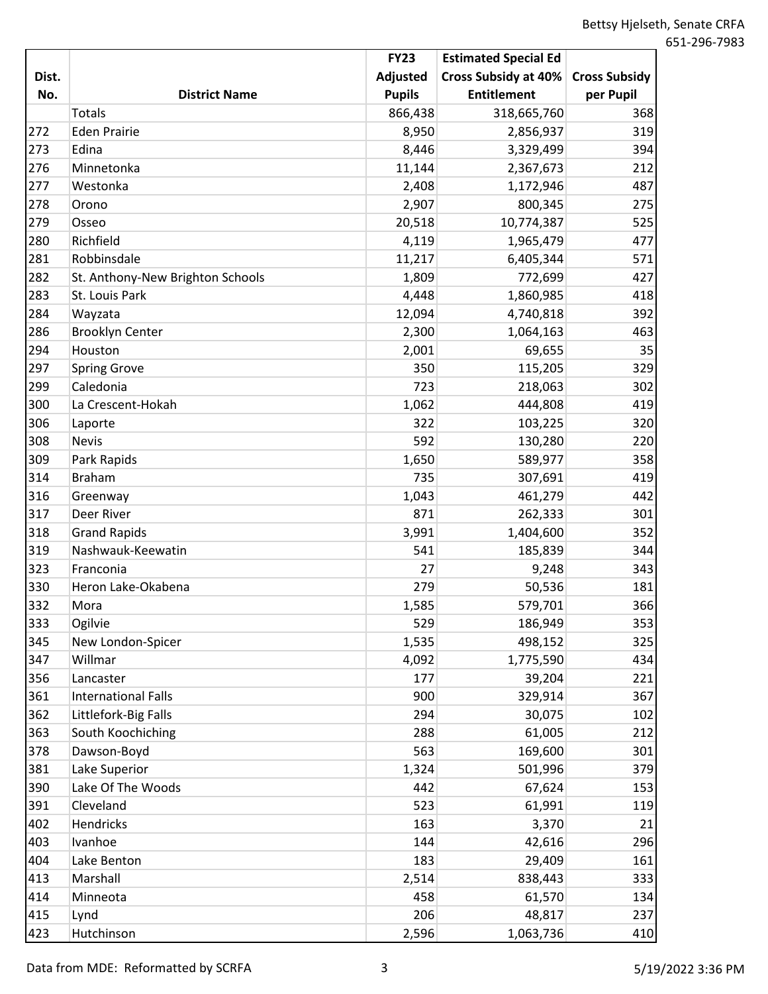|       |                                  | <b>FY23</b>     | <b>Estimated Special Ed</b> |                      |
|-------|----------------------------------|-----------------|-----------------------------|----------------------|
| Dist. |                                  | <b>Adjusted</b> | Cross Subsidy at 40%        | <b>Cross Subsidy</b> |
| No.   | <b>District Name</b>             | <b>Pupils</b>   | <b>Entitlement</b>          | per Pupil            |
|       | <b>Totals</b>                    | 866,438         | 318,665,760                 | 368                  |
| 272   | <b>Eden Prairie</b>              | 8,950           | 2,856,937                   | 319                  |
| 273   | Edina                            | 8,446           | 3,329,499                   | 394                  |
| 276   | Minnetonka                       | 11,144          | 2,367,673                   | 212                  |
| 277   | Westonka                         | 2,408           | 1,172,946                   | 487                  |
| 278   | Orono                            | 2,907           | 800,345                     | 275                  |
| 279   | Osseo                            | 20,518          | 10,774,387                  | 525                  |
| 280   | Richfield                        | 4,119           | 1,965,479                   | 477                  |
| 281   | Robbinsdale                      | 11,217          | 6,405,344                   | 571                  |
| 282   | St. Anthony-New Brighton Schools | 1,809           | 772,699                     | 427                  |
| 283   | St. Louis Park                   | 4,448           | 1,860,985                   | 418                  |
| 284   | Wayzata                          | 12,094          | 4,740,818                   | 392                  |
| 286   | <b>Brooklyn Center</b>           | 2,300           | 1,064,163                   | 463                  |
| 294   | Houston                          | 2,001           | 69,655                      | 35                   |
| 297   | <b>Spring Grove</b>              | 350             | 115,205                     | 329                  |
| 299   | Caledonia                        | 723             | 218,063                     | 302                  |
| 300   | La Crescent-Hokah                | 1,062           | 444,808                     | 419                  |
| 306   | Laporte                          | 322             | 103,225                     | 320                  |
| 308   | <b>Nevis</b>                     | 592             | 130,280                     | 220                  |
| 309   | Park Rapids                      | 1,650           | 589,977                     | 358                  |
| 314   | <b>Braham</b>                    | 735             | 307,691                     | 419                  |
| 316   | Greenway                         | 1,043           | 461,279                     | 442                  |
| 317   | Deer River                       | 871             | 262,333                     | 301                  |
| 318   | <b>Grand Rapids</b>              | 3,991           | 1,404,600                   | 352                  |
| 319   | Nashwauk-Keewatin                | 541             | 185,839                     | 344                  |
| 323   | Franconia                        | 27              | 9,248                       | 343                  |
| 330   | Heron Lake-Okabena               | 279             | 50,536                      | 181                  |
| 332   | Mora                             | 1,585           | 579,701                     | 366                  |
| 333   | Ogilvie                          | 529             | 186,949                     | 353                  |
| 345   | New London-Spicer                | 1,535           | 498,152                     | 325                  |
| 347   | Willmar                          | 4,092           | 1,775,590                   | 434                  |
| 356   | Lancaster                        | 177             | 39,204                      | 221                  |
| 361   | <b>International Falls</b>       | 900             | 329,914                     | 367                  |
| 362   | Littlefork-Big Falls             | 294             | 30,075                      | 102                  |
| 363   | South Koochiching                | 288             | 61,005                      | 212                  |
| 378   | Dawson-Boyd                      | 563             | 169,600                     | 301                  |
| 381   | Lake Superior                    | 1,324           | 501,996                     | 379                  |
| 390   | Lake Of The Woods                | 442             | 67,624                      | 153                  |
| 391   | Cleveland                        | 523             | 61,991                      | 119                  |
| 402   | Hendricks                        | 163             | 3,370                       | 21                   |
| 403   | Ivanhoe                          | 144             | 42,616                      | 296                  |
| 404   | Lake Benton                      | 183             | 29,409                      | 161                  |
| 413   | Marshall                         | 2,514           | 838,443                     | 333                  |
| 414   | Minneota                         | 458             | 61,570                      | 134                  |
| 415   | Lynd                             | 206             | 48,817                      | 237                  |
| 423   | Hutchinson                       | 2,596           | 1,063,736                   | 410                  |

Data from MDE: Reformatted by SCRFA 3 3 5/19/2022 3:36 PM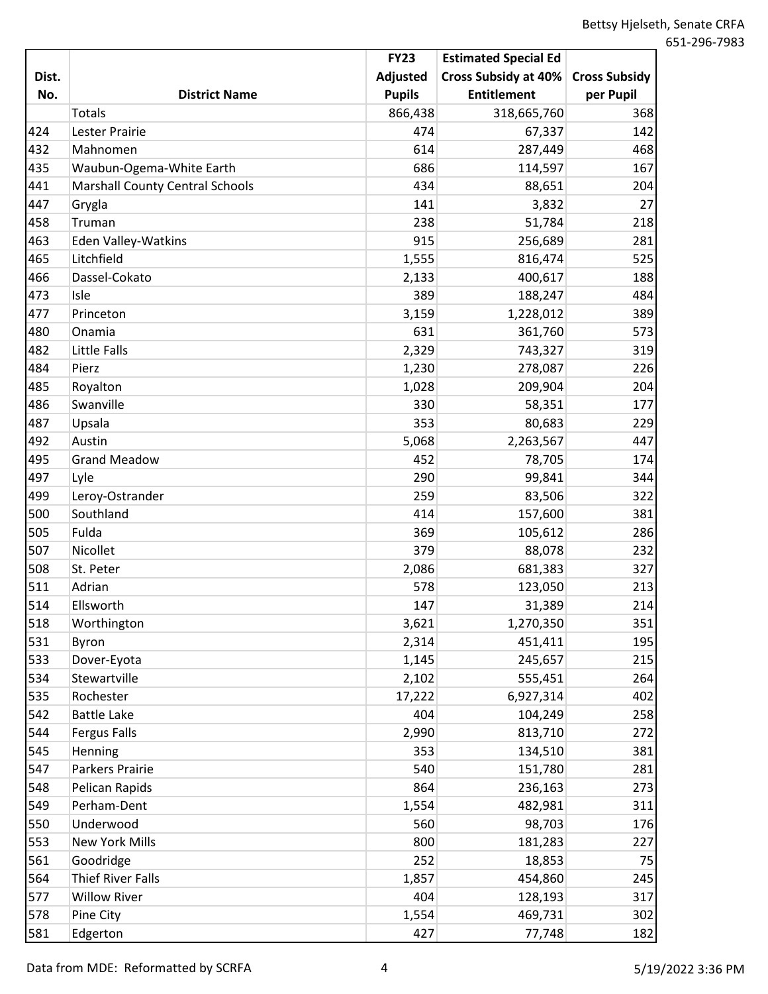|       |                                        | <b>FY23</b>   | <b>Estimated Special Ed</b> |                      |
|-------|----------------------------------------|---------------|-----------------------------|----------------------|
| Dist. |                                        | Adjusted      | Cross Subsidy at 40%        | <b>Cross Subsidy</b> |
| No.   | <b>District Name</b>                   | <b>Pupils</b> | <b>Entitlement</b>          | per Pupil            |
|       | <b>Totals</b>                          | 866,438       | 318,665,760                 | 368                  |
| 424   | Lester Prairie                         | 474           | 67,337                      | 142                  |
| 432   | Mahnomen                               | 614           | 287,449                     | 468                  |
| 435   | Waubun-Ogema-White Earth               | 686           | 114,597                     | 167                  |
| 441   | <b>Marshall County Central Schools</b> | 434           | 88,651                      | 204                  |
| 447   | Grygla                                 | 141           | 3,832                       | 27                   |
| 458   | Truman                                 | 238           | 51,784                      | 218                  |
| 463   | Eden Valley-Watkins                    | 915           | 256,689                     | 281                  |
| 465   | Litchfield                             | 1,555         | 816,474                     | 525                  |
| 466   | Dassel-Cokato                          | 2,133         | 400,617                     | 188                  |
| 473   | Isle                                   | 389           | 188,247                     | 484                  |
| 477   | Princeton                              | 3,159         | 1,228,012                   | 389                  |
| 480   | Onamia                                 | 631           | 361,760                     | 573                  |
| 482   | Little Falls                           | 2,329         | 743,327                     | 319                  |
| 484   | Pierz                                  | 1,230         | 278,087                     | 226                  |
| 485   | Royalton                               | 1,028         | 209,904                     | 204                  |
| 486   | Swanville                              | 330           | 58,351                      | 177                  |
| 487   | Upsala                                 | 353           | 80,683                      | 229                  |
| 492   | Austin                                 | 5,068         | 2,263,567                   | 447                  |
| 495   | <b>Grand Meadow</b>                    | 452           | 78,705                      | 174                  |
| 497   | Lyle                                   | 290           | 99,841                      | 344                  |
| 499   | Leroy-Ostrander                        | 259           | 83,506                      | 322                  |
| 500   | Southland                              | 414           | 157,600                     | 381                  |
| 505   | Fulda                                  | 369           | 105,612                     | 286                  |
| 507   | Nicollet                               | 379           | 88,078                      | 232                  |
| 508   | St. Peter                              | 2,086         | 681,383                     | 327                  |
| 511   | Adrian                                 | 578           | 123,050                     | 213                  |
| 514   | Ellsworth                              | 147           | 31,389                      | 214                  |
| 518   | Worthington                            | 3,621         | 1,270,350                   | 351                  |
| 531   | Byron                                  | 2,314         | 451,411                     | 195                  |
| 533   | Dover-Eyota                            | 1,145         | 245,657                     | 215                  |
| 534   | Stewartville                           | 2,102         | 555,451                     | 264                  |
| 535   | Rochester                              | 17,222        | 6,927,314                   | 402                  |
| 542   | <b>Battle Lake</b>                     | 404           | 104,249                     | 258                  |
| 544   | <b>Fergus Falls</b>                    | 2,990         | 813,710                     | 272                  |
| 545   | Henning                                | 353           | 134,510                     | 381                  |
| 547   | Parkers Prairie                        | 540           | 151,780                     | 281                  |
| 548   | Pelican Rapids                         | 864           | 236,163                     | 273                  |
| 549   | Perham-Dent                            | 1,554         | 482,981                     | 311                  |
| 550   | Underwood                              | 560           | 98,703                      | 176                  |
| 553   | <b>New York Mills</b>                  | 800           | 181,283                     | 227                  |
| 561   | Goodridge                              | 252           | 18,853                      | 75                   |
| 564   | <b>Thief River Falls</b>               | 1,857         | 454,860                     | 245                  |
| 577   | <b>Willow River</b>                    | 404           | 128,193                     | 317                  |
| 578   | Pine City                              | 1,554         | 469,731                     | 302                  |
| 581   | Edgerton                               | 427           | 77,748                      | 182                  |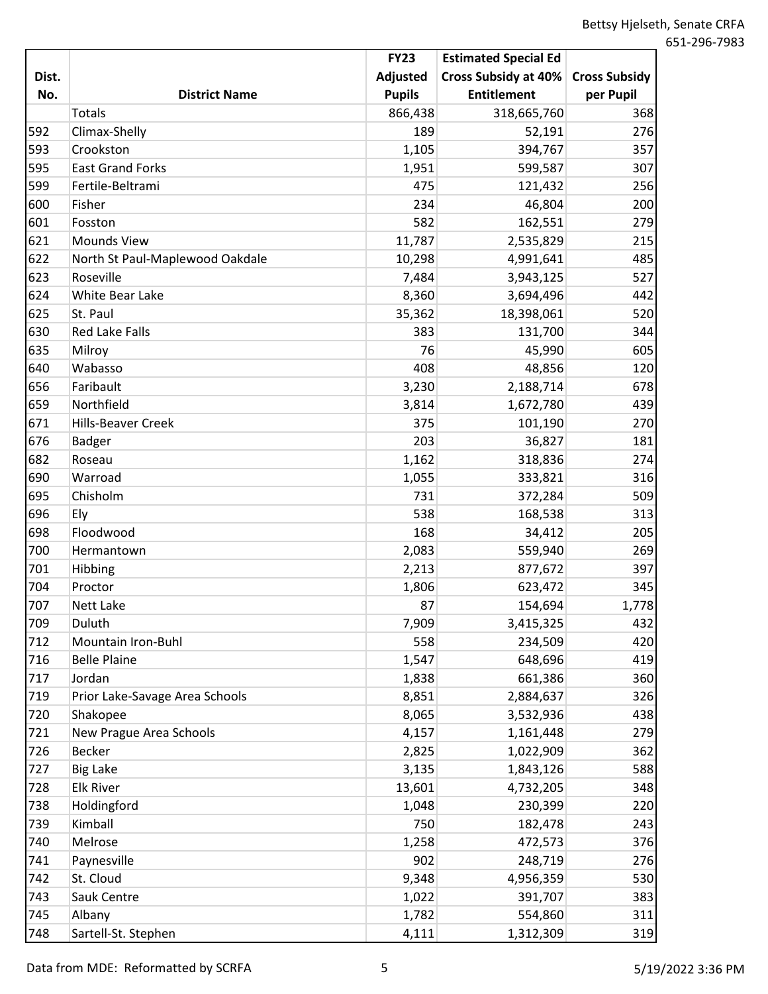|       |                                 | <b>FY23</b>   | <b>Estimated Special Ed</b> |                      |
|-------|---------------------------------|---------------|-----------------------------|----------------------|
| Dist. |                                 | Adjusted      | Cross Subsidy at 40%        | <b>Cross Subsidy</b> |
| No.   | <b>District Name</b>            | <b>Pupils</b> | <b>Entitlement</b>          | per Pupil            |
|       | <b>Totals</b>                   | 866,438       | 318,665,760                 | 368                  |
| 592   | Climax-Shelly                   | 189           | 52,191                      | 276                  |
| 593   | Crookston                       | 1,105         | 394,767                     | 357                  |
| 595   | <b>East Grand Forks</b>         | 1,951         | 599,587                     | 307                  |
| 599   | Fertile-Beltrami                | 475           | 121,432                     | 256                  |
| 600   | Fisher                          | 234           | 46,804                      | 200                  |
| 601   | Fosston                         | 582           | 162,551                     | 279                  |
| 621   | Mounds View                     | 11,787        | 2,535,829                   | 215                  |
| 622   | North St Paul-Maplewood Oakdale | 10,298        | 4,991,641                   | 485                  |
| 623   | Roseville                       | 7,484         | 3,943,125                   | 527                  |
| 624   | White Bear Lake                 | 8,360         | 3,694,496                   | 442                  |
| 625   | St. Paul                        | 35,362        | 18,398,061                  | 520                  |
| 630   | <b>Red Lake Falls</b>           | 383           | 131,700                     | 344                  |
| 635   | Milroy                          | 76            | 45,990                      | 605                  |
| 640   | Wabasso                         | 408           | 48,856                      | 120                  |
| 656   | Faribault                       | 3,230         | 2,188,714                   | 678                  |
| 659   | Northfield                      | 3,814         | 1,672,780                   | 439                  |
| 671   | Hills-Beaver Creek              | 375           | 101,190                     | 270                  |
| 676   | <b>Badger</b>                   | 203           | 36,827                      | 181                  |
| 682   | Roseau                          | 1,162         | 318,836                     | 274                  |
| 690   | Warroad                         | 1,055         | 333,821                     | 316                  |
| 695   | Chisholm                        | 731           | 372,284                     | 509                  |
| 696   | Ely                             | 538           | 168,538                     | 313                  |
| 698   | Floodwood                       | 168           | 34,412                      | 205                  |
| 700   | Hermantown                      | 2,083         | 559,940                     | 269                  |
| 701   | Hibbing                         | 2,213         | 877,672                     | 397                  |
| 704   | Proctor                         | 1,806         | 623,472                     | 345                  |
| 707   | Nett Lake                       | 87            | 154,694                     | 1,778                |
| 709   | Duluth                          | 7,909         | 3,415,325                   | 432                  |
| 712   | Mountain Iron-Buhl              | 558           | 234,509                     | 420                  |
| 716   | <b>Belle Plaine</b>             | 1,547         | 648,696                     | 419                  |
| 717   | Jordan                          | 1,838         | 661,386                     | 360                  |
| 719   | Prior Lake-Savage Area Schools  | 8,851         | 2,884,637                   | 326                  |
| 720   | Shakopee                        | 8,065         | 3,532,936                   | 438                  |
| 721   | New Prague Area Schools         | 4,157         | 1,161,448                   | 279                  |
| 726   | Becker                          | 2,825         | 1,022,909                   | 362                  |
| 727   | <b>Big Lake</b>                 | 3,135         | 1,843,126                   | 588                  |
| 728   | <b>Elk River</b>                | 13,601        | 4,732,205                   | 348                  |
| 738   | Holdingford                     | 1,048         | 230,399                     | 220                  |
| 739   | Kimball                         | 750           | 182,478                     | 243                  |
| 740   | Melrose                         | 1,258         | 472,573                     | 376                  |
| 741   | Paynesville                     | 902           | 248,719                     | 276                  |
| 742   | St. Cloud                       | 9,348         | 4,956,359                   | 530                  |
| 743   | Sauk Centre                     | 1,022         | 391,707                     | 383                  |
| 745   | Albany                          | 1,782         | 554,860                     | 311                  |
| 748   | Sartell-St. Stephen             | 4,111         | 1,312,309                   | 319                  |

Data from MDE: Reformatted by SCRFA 5 5 5/19/2022 3:36 PM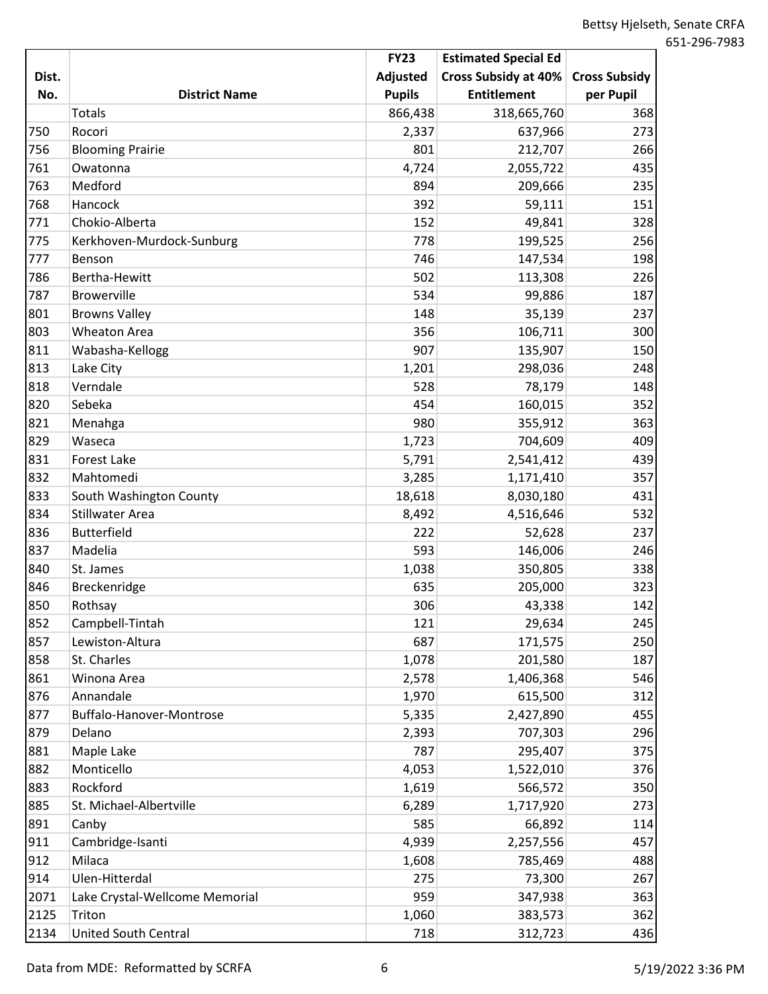|       |                                | <b>FY23</b>   | <b>Estimated Special Ed</b> |                      |
|-------|--------------------------------|---------------|-----------------------------|----------------------|
| Dist. |                                | Adjusted      | Cross Subsidy at 40%        | <b>Cross Subsidy</b> |
| No.   | <b>District Name</b>           | <b>Pupils</b> | <b>Entitlement</b>          | per Pupil            |
|       | <b>Totals</b>                  | 866,438       | 318,665,760                 | 368                  |
| 750   | Rocori                         | 2,337         | 637,966                     | 273                  |
| 756   | <b>Blooming Prairie</b>        | 801           | 212,707                     | 266                  |
| 761   | Owatonna                       | 4,724         | 2,055,722                   | 435                  |
| 763   | Medford                        | 894           | 209,666                     | 235                  |
| 768   | Hancock                        | 392           | 59,111                      | 151                  |
| 771   | Chokio-Alberta                 | 152           | 49,841                      | 328                  |
| 775   | Kerkhoven-Murdock-Sunburg      | 778           | 199,525                     | 256                  |
| 777   | Benson                         | 746           | 147,534                     | 198                  |
| 786   | Bertha-Hewitt                  | 502           | 113,308                     | 226                  |
| 787   | <b>Browerville</b>             | 534           | 99,886                      | 187                  |
| 801   | <b>Browns Valley</b>           | 148           | 35,139                      | 237                  |
| 803   | <b>Wheaton Area</b>            | 356           | 106,711                     | 300                  |
| 811   | Wabasha-Kellogg                | 907           | 135,907                     | 150                  |
| 813   | Lake City                      | 1,201         | 298,036                     | 248                  |
| 818   | Verndale                       | 528           | 78,179                      | 148                  |
| 820   | Sebeka                         | 454           | 160,015                     | 352                  |
| 821   | Menahga                        | 980           | 355,912                     | 363                  |
| 829   | Waseca                         | 1,723         | 704,609                     | 409                  |
| 831   | <b>Forest Lake</b>             | 5,791         | 2,541,412                   | 439                  |
| 832   | Mahtomedi                      | 3,285         | 1,171,410                   | 357                  |
| 833   | South Washington County        | 18,618        | 8,030,180                   | 431                  |
| 834   | <b>Stillwater Area</b>         | 8,492         | 4,516,646                   | 532                  |
| 836   | <b>Butterfield</b>             | 222           | 52,628                      | 237                  |
| 837   | Madelia                        | 593           | 146,006                     | 246                  |
| 840   | St. James                      | 1,038         | 350,805                     | 338                  |
| 846   | Breckenridge                   | 635           | 205,000                     | 323                  |
| 850   | Rothsay                        | 306           | 43,338                      | 142                  |
| 852   | Campbell-Tintah                | 121           | 29,634                      | 245                  |
| 857   | Lewiston-Altura                | 687           | 171,575                     | 250                  |
| 858   | St. Charles                    | 1,078         | 201,580                     | 187                  |
| 861   | Winona Area                    | 2,578         | 1,406,368                   | 546                  |
| 876   | Annandale                      | 1,970         | 615,500                     | 312                  |
| 877   | Buffalo-Hanover-Montrose       | 5,335         | 2,427,890                   | 455                  |
| 879   | Delano                         | 2,393         | 707,303                     | 296                  |
| 881   | Maple Lake                     | 787           | 295,407                     | 375                  |
| 882   | Monticello                     | 4,053         | 1,522,010                   | 376                  |
| 883   | Rockford                       | 1,619         | 566,572                     | 350                  |
| 885   | St. Michael-Albertville        | 6,289         | 1,717,920                   | 273                  |
| 891   | Canby                          | 585           | 66,892                      | 114                  |
| 911   | Cambridge-Isanti               | 4,939         | 2,257,556                   | 457                  |
| 912   | Milaca                         | 1,608         | 785,469                     | 488                  |
| 914   | Ulen-Hitterdal                 | 275           | 73,300                      | 267                  |
| 2071  | Lake Crystal-Wellcome Memorial | 959           | 347,938                     | 363                  |
| 2125  | Triton                         | 1,060         | 383,573                     | 362                  |
| 2134  | <b>United South Central</b>    | 718           | 312,723                     | 436                  |

Data from MDE: Reformatted by SCRFA 6 5/19/2022 3:36 PM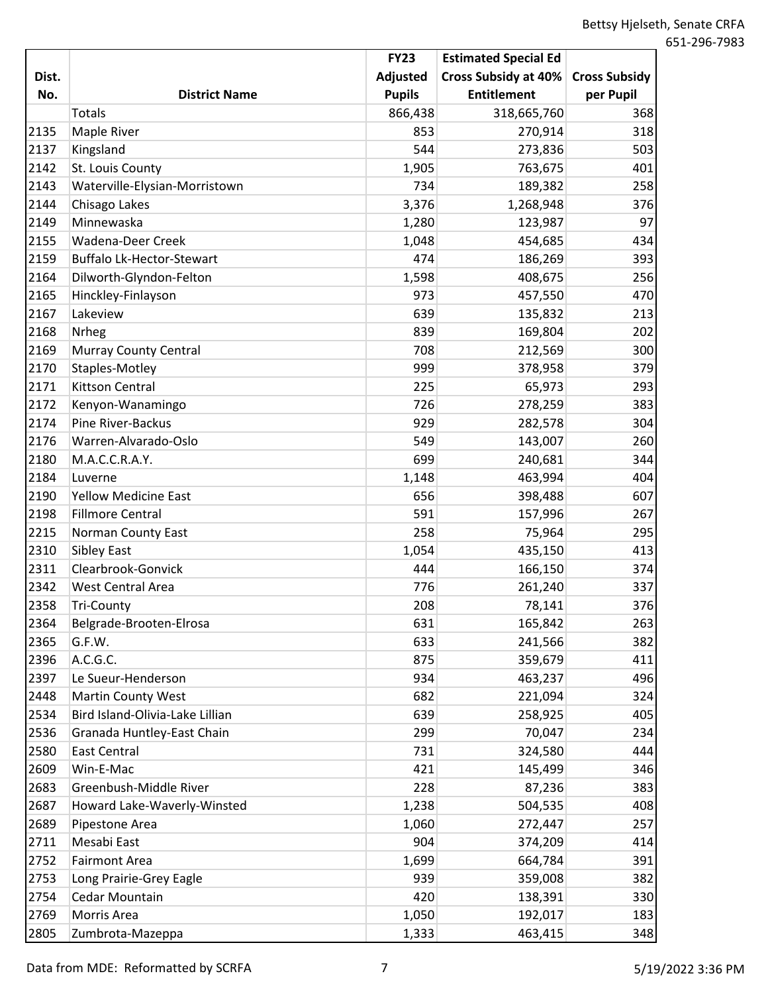|       |                                  | <b>FY23</b>     | <b>Estimated Special Ed</b> |                      |
|-------|----------------------------------|-----------------|-----------------------------|----------------------|
| Dist. |                                  | <b>Adjusted</b> | Cross Subsidy at 40%        | <b>Cross Subsidy</b> |
| No.   | <b>District Name</b>             | <b>Pupils</b>   | <b>Entitlement</b>          | per Pupil            |
|       | <b>Totals</b>                    | 866,438         | 318,665,760                 | 368                  |
| 2135  | Maple River                      | 853             | 270,914                     | 318                  |
| 2137  | Kingsland                        | 544             | 273,836                     | 503                  |
| 2142  | St. Louis County                 | 1,905           | 763,675                     | 401                  |
| 2143  | Waterville-Elysian-Morristown    | 734             | 189,382                     | 258                  |
| 2144  | Chisago Lakes                    | 3,376           | 1,268,948                   | 376                  |
| 2149  | Minnewaska                       | 1,280           | 123,987                     | 97                   |
| 2155  | <b>Wadena-Deer Creek</b>         | 1,048           | 454,685                     | 434                  |
| 2159  | <b>Buffalo Lk-Hector-Stewart</b> | 474             | 186,269                     | 393                  |
| 2164  | Dilworth-Glyndon-Felton          | 1,598           | 408,675                     | 256                  |
| 2165  | Hinckley-Finlayson               | 973             | 457,550                     | 470                  |
| 2167  | Lakeview                         | 639             | 135,832                     | 213                  |
| 2168  | Nrheg                            | 839             | 169,804                     | 202                  |
| 2169  | <b>Murray County Central</b>     | 708             | 212,569                     | 300                  |
| 2170  | Staples-Motley                   | 999             | 378,958                     | 379                  |
| 2171  | <b>Kittson Central</b>           | 225             | 65,973                      | 293                  |
| 2172  | Kenyon-Wanamingo                 | 726             | 278,259                     | 383                  |
| 2174  | Pine River-Backus                | 929             | 282,578                     | 304                  |
| 2176  | Warren-Alvarado-Oslo             | 549             | 143,007                     | 260                  |
| 2180  | M.A.C.C.R.A.Y.                   | 699             | 240,681                     | 344                  |
| 2184  | Luverne                          | 1,148           | 463,994                     | 404                  |
| 2190  | <b>Yellow Medicine East</b>      | 656             | 398,488                     | 607                  |
| 2198  | <b>Fillmore Central</b>          | 591             | 157,996                     | 267                  |
| 2215  | <b>Norman County East</b>        | 258             | 75,964                      | 295                  |
| 2310  | Sibley East                      | 1,054           | 435,150                     | 413                  |
| 2311  | Clearbrook-Gonvick               | 444             | 166,150                     | 374                  |
| 2342  | <b>West Central Area</b>         | 776             | 261,240                     | 337                  |
| 2358  | <b>Tri-County</b>                | 208             | 78,141                      | 376                  |
| 2364  | Belgrade-Brooten-Elrosa          | 631             | 165,842                     | 263                  |
| 2365  | G.F.W.                           | 633             | 241,566                     | 382                  |
| 2396  | A.C.G.C.                         | 875             | 359,679                     | 411                  |
| 2397  | Le Sueur-Henderson               | 934             | 463,237                     | 496                  |
| 2448  | <b>Martin County West</b>        | 682             | 221,094                     | 324                  |
| 2534  | Bird Island-Olivia-Lake Lillian  | 639             | 258,925                     | 405                  |
| 2536  | Granada Huntley-East Chain       | 299             | 70,047                      | 234                  |
| 2580  | <b>East Central</b>              | 731             | 324,580                     | 444                  |
| 2609  | Win-E-Mac                        | 421             | 145,499                     | 346                  |
| 2683  | Greenbush-Middle River           | 228             | 87,236                      | 383                  |
| 2687  | Howard Lake-Waverly-Winsted      | 1,238           | 504,535                     | 408                  |
| 2689  | Pipestone Area                   | 1,060           | 272,447                     | 257                  |
| 2711  | Mesabi East                      | 904             | 374,209                     | 414                  |
| 2752  | <b>Fairmont Area</b>             | 1,699           | 664,784                     | 391                  |
| 2753  | Long Prairie-Grey Eagle          | 939             | 359,008                     | 382                  |
| 2754  | Cedar Mountain                   | 420             | 138,391                     | 330                  |
| 2769  | Morris Area                      | 1,050           | 192,017                     | 183                  |
| 2805  | Zumbrota-Mazeppa                 | 1,333           | 463,415                     | 348                  |

Data from MDE: Reformatted by SCRFA 7 7 5/19/2022 3:36 PM